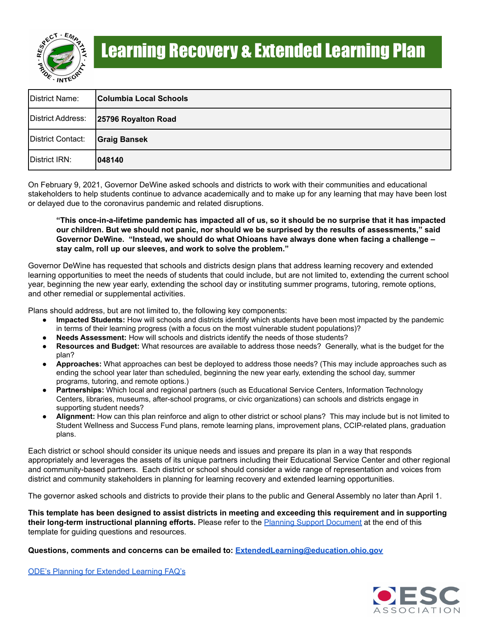

| District Name:    | Columbia Local Schools |
|-------------------|------------------------|
| District Address: | 25796 Royalton Road    |
| District Contact: | <b>Graig Bansek</b>    |
| District IRN:     | 1048140                |

On February 9, 2021, Governor DeWine asked schools and districts to work with their communities and educational stakeholders to help students continue to advance academically and to make up for any learning that may have been lost or delayed due to the coronavirus pandemic and related disruptions.

"This once-in-a-lifetime pandemic has impacted all of us, so it should be no surprise that it has impacted our children. But we should not panic, nor should we be surprised by the results of assessments," said **Governor DeWine. "Instead, we should do what Ohioans have always done when facing a challenge – stay calm, roll up our sleeves, and work to solve the problem."**

Governor DeWine has requested that schools and districts design plans that address learning recovery and extended learning opportunities to meet the needs of students that could include, but are not limited to, extending the current school year, beginning the new year early, extending the school day or instituting summer programs, tutoring, remote options, and other remedial or supplemental activities.

Plans should address, but are not limited to, the following key components:

- Impacted Students: How will schools and districts identify which students have been most impacted by the pandemic in terms of their learning progress (with a focus on the most vulnerable student populations)?
- **Needs Assessment:** How will schools and districts identify the needs of those students?
- **Resources and Budget:** What resources are available to address those needs? Generally, what is the budget for the plan?
- **Approaches:** What approaches can best be deployed to address those needs? (This may include approaches such as ending the school year later than scheduled, beginning the new year early, extending the school day, summer programs, tutoring, and remote options.)
- **Partnerships:** Which local and regional partners (such as Educational Service Centers, Information Technology Centers, libraries, museums, after-school programs, or civic organizations) can schools and districts engage in supporting student needs?
- **Alignment:** How can this plan reinforce and align to other district or school plans? This may include but is not limited to Student Wellness and Success Fund plans, remote learning plans, improvement plans, CCIP-related plans, graduation plans.

Each district or school should consider its unique needs and issues and prepare its plan in a way that responds appropriately and leverages the assets of its unique partners including their Educational Service Center and other regional and community-based partners. Each district or school should consider a wide range of representation and voices from district and community stakeholders in planning for learning recovery and extended learning opportunities.

The governor asked schools and districts to provide their plans to the public and General Assembly no later than April 1.

This template has been designed to assist districts in meeting and exceeding this requirement and in supporting **their long-term instructional planning efforts.** Please refer to the Planning Support Document at the end of this template for guiding questions and resources.

#### **Questions, comments and concerns can be emailed to: [ExtendedLearning@education.ohio.gov](mailto:ExtendedLearning@education.ohio.gov)**

ODE's Planning for [Extended](http://education.ohio.gov/Topics/Reset-and-Restart/Planning-for-Extended-Learning) Learning FAQ's

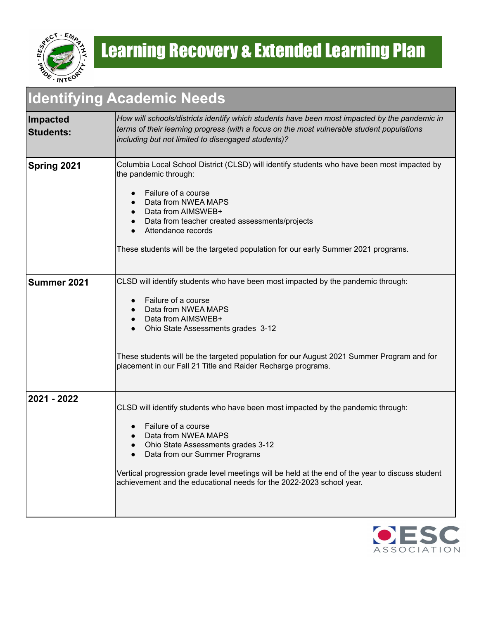

#### **Identifying Academic Needs**

| Impacted<br><b>Students:</b> | How will schools/districts identify which students have been most impacted by the pandemic in<br>terms of their learning progress (with a focus on the most vulnerable student populations<br>including but not limited to disengaged students)?                                                                                                                                               |
|------------------------------|------------------------------------------------------------------------------------------------------------------------------------------------------------------------------------------------------------------------------------------------------------------------------------------------------------------------------------------------------------------------------------------------|
| Spring 2021                  | Columbia Local School District (CLSD) will identify students who have been most impacted by<br>the pandemic through:<br>Failure of a course<br>Data from NWEA MAPS<br>Data from AIMSWEB+<br>Data from teacher created assessments/projects<br>Attendance records<br>These students will be the targeted population for our early Summer 2021 programs.                                         |
| Summer 2021                  | CLSD will identify students who have been most impacted by the pandemic through:<br>Failure of a course<br>Data from NWEA MAPS<br>Data from AIMSWEB+<br>Ohio State Assessments grades 3-12<br>These students will be the targeted population for our August 2021 Summer Program and for<br>placement in our Fall 21 Title and Raider Recharge programs.                                        |
| 2021 - 2022                  | CLSD will identify students who have been most impacted by the pandemic through:<br>Failure of a course<br>Data from NWEA MAPS<br>Ohio State Assessments grades 3-12<br>Data from our Summer Programs<br>$\bullet$<br>Vertical progression grade level meetings will be held at the end of the year to discuss student<br>achievement and the educational needs for the 2022-2023 school year. |

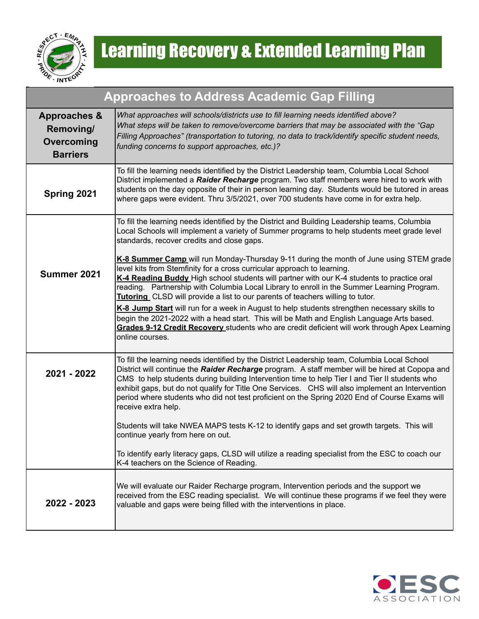

| <b>Approaches to Address Academic Gap Filling</b>                     |                                                                                                                                                                                                                                                                                                                                                                                                                                                                                                                                                  |  |  |
|-----------------------------------------------------------------------|--------------------------------------------------------------------------------------------------------------------------------------------------------------------------------------------------------------------------------------------------------------------------------------------------------------------------------------------------------------------------------------------------------------------------------------------------------------------------------------------------------------------------------------------------|--|--|
| <b>Approaches &amp;</b><br>Removing/<br>Overcoming<br><b>Barriers</b> | What approaches will schools/districts use to fill learning needs identified above?<br>What steps will be taken to remove/overcome barriers that may be associated with the "Gap<br>Filling Approaches" (transportation to tutoring, no data to track/identify specific student needs,<br>funding concerns to support approaches, etc.)?                                                                                                                                                                                                         |  |  |
| Spring 2021                                                           | To fill the learning needs identified by the District Leadership team, Columbia Local School<br>District implemented a Raider Recharge program. Two staff members were hired to work with<br>students on the day opposite of their in person learning day. Students would be tutored in areas<br>where gaps were evident. Thru 3/5/2021, over 700 students have come in for extra help.                                                                                                                                                          |  |  |
|                                                                       | To fill the learning needs identified by the District and Building Leadership teams, Columbia<br>Local Schools will implement a variety of Summer programs to help students meet grade level<br>standards, recover credits and close gaps.                                                                                                                                                                                                                                                                                                       |  |  |
| Summer 2021                                                           | K-8 Summer Camp will run Monday-Thursday 9-11 during the month of June using STEM grade<br>level kits from Stemfinity for a cross curricular approach to learning.<br>K-4 Reading Buddy High school students will partner with our K-4 students to practice oral<br>reading. Partnership with Columbia Local Library to enroll in the Summer Learning Program.<br>Tutoring CLSD will provide a list to our parents of teachers willing to tutor.<br>K-8 Jump Start will run for a week in August to help students strengthen necessary skills to |  |  |
|                                                                       | begin the 2021-2022 with a head start. This will be Math and English Language Arts based.<br>Grades 9-12 Credit Recovery students who are credit deficient will work through Apex Learning<br>online courses.                                                                                                                                                                                                                                                                                                                                    |  |  |
| 2021 - 2022                                                           | To fill the learning needs identified by the District Leadership team, Columbia Local School<br>District will continue the Raider Recharge program. A staff member will be hired at Copopa and<br>CMS to help students during building Intervention time to help Tier I and Tier II students who<br>exhibit gaps, but do not qualify for Title One Services. CHS will also implement an Intervention<br>period where students who did not test proficient on the Spring 2020 End of Course Exams will<br>receive extra help.                     |  |  |
|                                                                       | Students will take NWEA MAPS tests K-12 to identify gaps and set growth targets. This will<br>continue yearly from here on out.                                                                                                                                                                                                                                                                                                                                                                                                                  |  |  |
|                                                                       | To identify early literacy gaps, CLSD will utilize a reading specialist from the ESC to coach our<br>K-4 teachers on the Science of Reading.                                                                                                                                                                                                                                                                                                                                                                                                     |  |  |
| 2022 - 2023                                                           | We will evaluate our Raider Recharge program, Intervention periods and the support we<br>received from the ESC reading specialist. We will continue these programs if we feel they were<br>valuable and gaps were being filled with the interventions in place.                                                                                                                                                                                                                                                                                  |  |  |

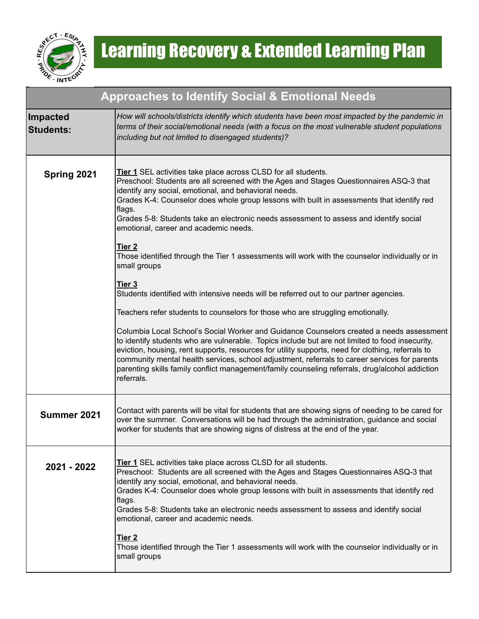

| <b>Approaches to Identify Social &amp; Emotional Needs</b> |                                                                                                                                                                                                                                                                                                                                                                                                                                                                                                                                                                                                                                                                                                                                                                                                                                                                                                                                                                                                                                                                                                                                                                                                                                                                                                             |  |
|------------------------------------------------------------|-------------------------------------------------------------------------------------------------------------------------------------------------------------------------------------------------------------------------------------------------------------------------------------------------------------------------------------------------------------------------------------------------------------------------------------------------------------------------------------------------------------------------------------------------------------------------------------------------------------------------------------------------------------------------------------------------------------------------------------------------------------------------------------------------------------------------------------------------------------------------------------------------------------------------------------------------------------------------------------------------------------------------------------------------------------------------------------------------------------------------------------------------------------------------------------------------------------------------------------------------------------------------------------------------------------|--|
| <b>Impacted</b><br><b>Students:</b>                        | How will schools/districts identify which students have been most impacted by the pandemic in<br>terms of their social/emotional needs (with a focus on the most vulnerable student populations<br>including but not limited to disengaged students)?                                                                                                                                                                                                                                                                                                                                                                                                                                                                                                                                                                                                                                                                                                                                                                                                                                                                                                                                                                                                                                                       |  |
| Spring 2021                                                | <b>Tier 1</b> SEL activities take place across CLSD for all students.<br>Preschool: Students are all screened with the Ages and Stages Questionnaires ASQ-3 that<br>identify any social, emotional, and behavioral needs.<br>Grades K-4: Counselor does whole group lessons with built in assessments that identify red<br>flags.<br>Grades 5-8: Students take an electronic needs assessment to assess and identify social<br>emotional, career and academic needs.<br>Tier <sub>2</sub><br>Those identified through the Tier 1 assessments will work with the counselor individually or in<br>small groups<br>Tier 3<br>Students identified with intensive needs will be referred out to our partner agencies.<br>Teachers refer students to counselors for those who are struggling emotionally.<br>Columbia Local School's Social Worker and Guidance Counselors created a needs assessment<br>to identify students who are vulnerable. Topics include but are not limited to food insecurity,<br>eviction, housing, rent supports, resources for utility supports, need for clothing, referrals to<br>community mental health services, school adjustment, referrals to career services for parents<br>parenting skills family conflict management/family counseling referrals, drug/alcohol addiction |  |
| Summer 2021                                                | referrals.<br>Contact with parents will be vital for students that are showing signs of needing to be cared for<br>over the summer. Conversations will be had through the administration, guidance and social<br>worker for students that are showing signs of distress at the end of the year.                                                                                                                                                                                                                                                                                                                                                                                                                                                                                                                                                                                                                                                                                                                                                                                                                                                                                                                                                                                                             |  |
| 2021 - 2022                                                | <b>Tier 1</b> SEL activities take place across CLSD for all students.<br>Preschool: Students are all screened with the Ages and Stages Questionnaires ASQ-3 that<br>identify any social, emotional, and behavioral needs.<br>Grades K-4: Counselor does whole group lessons with built in assessments that identify red<br>∣flags.<br>Grades 5-8: Students take an electronic needs assessment to assess and identify social<br>emotional, career and academic needs.<br>Tier <sub>2</sub><br>Those identified through the Tier 1 assessments will work with the counselor individually or in<br>small groups                                                                                                                                                                                                                                                                                                                                                                                                                                                                                                                                                                                                                                                                                               |  |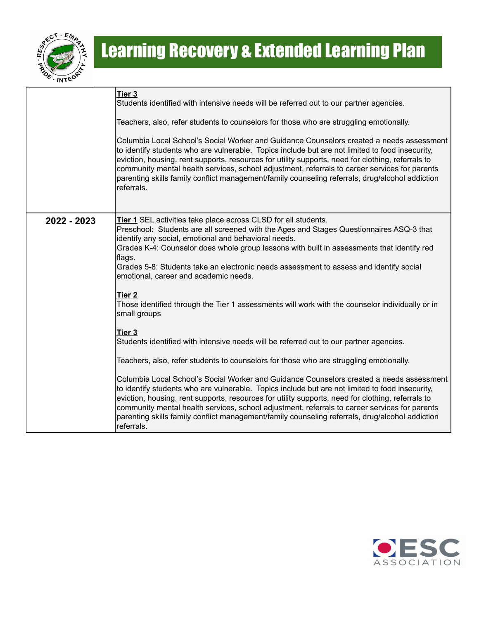

|             | Tier 3<br>Students identified with intensive needs will be referred out to our partner agencies.<br>Teachers, also, refer students to counselors for those who are struggling emotionally.<br>Columbia Local School's Social Worker and Guidance Counselors created a needs assessment<br>to identify students who are vulnerable. Topics include but are not limited to food insecurity,<br>eviction, housing, rent supports, resources for utility supports, need for clothing, referrals to<br>community mental health services, school adjustment, referrals to career services for parents<br>parenting skills family conflict management/family counseling referrals, drug/alcohol addiction<br>referrals. |
|-------------|------------------------------------------------------------------------------------------------------------------------------------------------------------------------------------------------------------------------------------------------------------------------------------------------------------------------------------------------------------------------------------------------------------------------------------------------------------------------------------------------------------------------------------------------------------------------------------------------------------------------------------------------------------------------------------------------------------------|
|             |                                                                                                                                                                                                                                                                                                                                                                                                                                                                                                                                                                                                                                                                                                                  |
| 2022 - 2023 | <b>Tier 1</b> SEL activities take place across CLSD for all students.<br>Preschool: Students are all screened with the Ages and Stages Questionnaires ASQ-3 that<br>identify any social, emotional and behavioral needs.<br>Grades K-4: Counselor does whole group lessons with built in assessments that identify red<br>flags.<br>Grades 5-8: Students take an electronic needs assessment to assess and identify social<br>emotional, career and academic needs.                                                                                                                                                                                                                                              |
|             | Tier 2<br>Those identified through the Tier 1 assessments will work with the counselor individually or in<br>small groups                                                                                                                                                                                                                                                                                                                                                                                                                                                                                                                                                                                        |
|             | Tier 3<br>Students identified with intensive needs will be referred out to our partner agencies.                                                                                                                                                                                                                                                                                                                                                                                                                                                                                                                                                                                                                 |
|             | Teachers, also, refer students to counselors for those who are struggling emotionally.                                                                                                                                                                                                                                                                                                                                                                                                                                                                                                                                                                                                                           |
|             | Columbia Local School's Social Worker and Guidance Counselors created a needs assessment<br>to identify students who are vulnerable. Topics include but are not limited to food insecurity,<br>eviction, housing, rent supports, resources for utility supports, need for clothing, referrals to<br>community mental health services, school adjustment, referrals to career services for parents<br>parenting skills family conflict management/family counseling referrals, drug/alcohol addiction<br>referrals.                                                                                                                                                                                               |

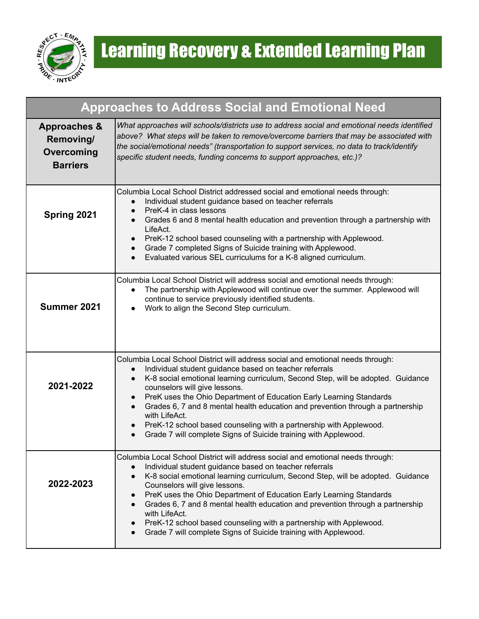

| <b>Approaches to Address Social and Emotional Need</b>                |                                                                                                                                                                                                                                                                                                                                                                                                                                                                                                                                                                                                                                                    |  |  |
|-----------------------------------------------------------------------|----------------------------------------------------------------------------------------------------------------------------------------------------------------------------------------------------------------------------------------------------------------------------------------------------------------------------------------------------------------------------------------------------------------------------------------------------------------------------------------------------------------------------------------------------------------------------------------------------------------------------------------------------|--|--|
| <b>Approaches &amp;</b><br>Removing/<br>Overcoming<br><b>Barriers</b> | What approaches will schools/districts use to address social and emotional needs identified<br>above? What steps will be taken to remove/overcome barriers that may be associated with<br>the social/emotional needs" (transportation to support services, no data to track/identify<br>specific student needs, funding concerns to support approaches, etc.)?                                                                                                                                                                                                                                                                                     |  |  |
| Spring 2021                                                           | Columbia Local School District addressed social and emotional needs through:<br>Individual student guidance based on teacher referrals<br>$\bullet$<br>PreK-4 in class lessons<br>$\bullet$<br>Grades 6 and 8 mental health education and prevention through a partnership with<br>$\bullet$<br>LifeAct.<br>PreK-12 school based counseling with a partnership with Applewood.<br>$\bullet$<br>Grade 7 completed Signs of Suicide training with Applewood.<br>$\bullet$<br>Evaluated various SEL curriculums for a K-8 aligned curriculum.                                                                                                         |  |  |
| Summer 2021                                                           | Columbia Local School District will address social and emotional needs through:<br>The partnership with Applewood will continue over the summer. Applewood will<br>$\bullet$<br>continue to service previously identified students.<br>Work to align the Second Step curriculum.                                                                                                                                                                                                                                                                                                                                                                   |  |  |
| 2021-2022                                                             | Columbia Local School District will address social and emotional needs through:<br>Individual student guidance based on teacher referrals<br>$\bullet$<br>K-8 social emotional learning curriculum, Second Step, will be adopted. Guidance<br>$\bullet$<br>counselors will give lessons.<br>PreK uses the Ohio Department of Education Early Learning Standards<br>$\bullet$<br>Grades 6, 7 and 8 mental health education and prevention through a partnership<br>$\bullet$<br>with LifeAct.<br>PreK-12 school based counseling with a partnership with Applewood.<br>$\bullet$<br>Grade 7 will complete Signs of Suicide training with Applewood. |  |  |
| 2022-2023                                                             | Columbia Local School District will address social and emotional needs through:<br>Individual student guidance based on teacher referrals<br>$\bullet$<br>K-8 social emotional learning curriculum, Second Step, will be adopted. Guidance<br>$\bullet$<br>Counselors will give lessons.<br>PreK uses the Ohio Department of Education Early Learning Standards<br>$\bullet$<br>Grades 6, 7 and 8 mental health education and prevention through a partnership<br>$\bullet$<br>with LifeAct.<br>PreK-12 school based counseling with a partnership with Applewood.<br>$\bullet$<br>Grade 7 will complete Signs of Suicide training with Applewood. |  |  |